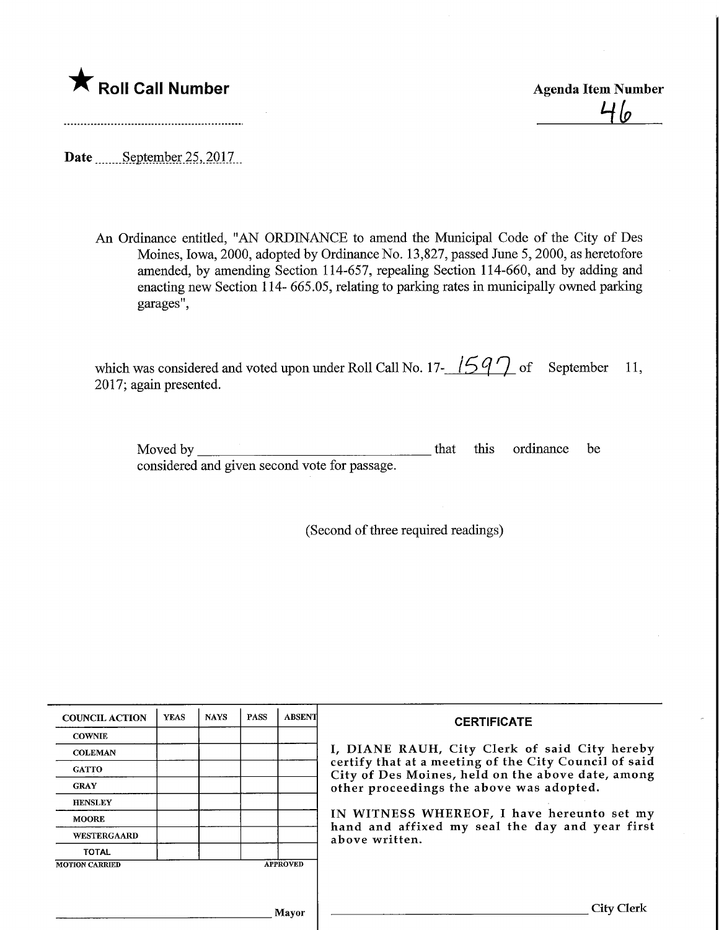

Roll Call Number<br>
Agenda Item Number<br>
<sup>1</sup>/<sub>0</sub>

Date ........ September 25, 2017.

An Ordinance entitled, "AN ORDINANCE to amend the Municipal Code of the City of Des Moines, Iowa, 2000, adopted by Ordinance No. 13,827, passed June 5,2000, as heretofore amended, by amending Section 114-657, repealing Section 114-660, and by adding and enacting new Section 114- 665.05, relating to parking rates in municipally owned parking garages",

which was considered and voted upon under Roll Call No. 17- $\frac{1597}{ }$  of September 11, 2017; again presented.

Moved by considered and given second vote for passage. that this ordinance be

(Second of three required readings)

| <b>COUNCIL ACTION</b> | <b>YEAS</b> | <b>NAYS</b> | <b>PASS</b> | <b>ABSENT</b>   | <b>CERTIFICATE</b>                                                                                         |
|-----------------------|-------------|-------------|-------------|-----------------|------------------------------------------------------------------------------------------------------------|
| <b>COWNIE</b>         |             |             |             |                 |                                                                                                            |
| <b>COLEMAN</b>        |             |             |             |                 | I, DIANE RAUH, City Clerk of said City hereby                                                              |
| <b>GATTO</b>          |             |             |             |                 | certify that at a meeting of the City Council of said<br>City of Des Moines, held on the above date, among |
| <b>GRAY</b>           |             |             |             |                 | other proceedings the above was adopted.                                                                   |
| <b>HENSLEY</b>        |             |             |             |                 |                                                                                                            |
| <b>MOORE</b>          |             |             |             |                 | IN WITNESS WHEREOF, I have hereunto set my<br>hand and affixed my seal the day and year first              |
| <b>WESTERGAARD</b>    |             |             |             |                 | above written.                                                                                             |
| <b>TOTAL</b>          |             |             |             |                 |                                                                                                            |
| <b>MOTION CARRIED</b> |             |             |             | <b>APPROVED</b> |                                                                                                            |
|                       |             |             |             |                 |                                                                                                            |
|                       |             |             |             |                 |                                                                                                            |
|                       |             |             |             | Mavor           | City Clerk                                                                                                 |
|                       |             |             |             |                 |                                                                                                            |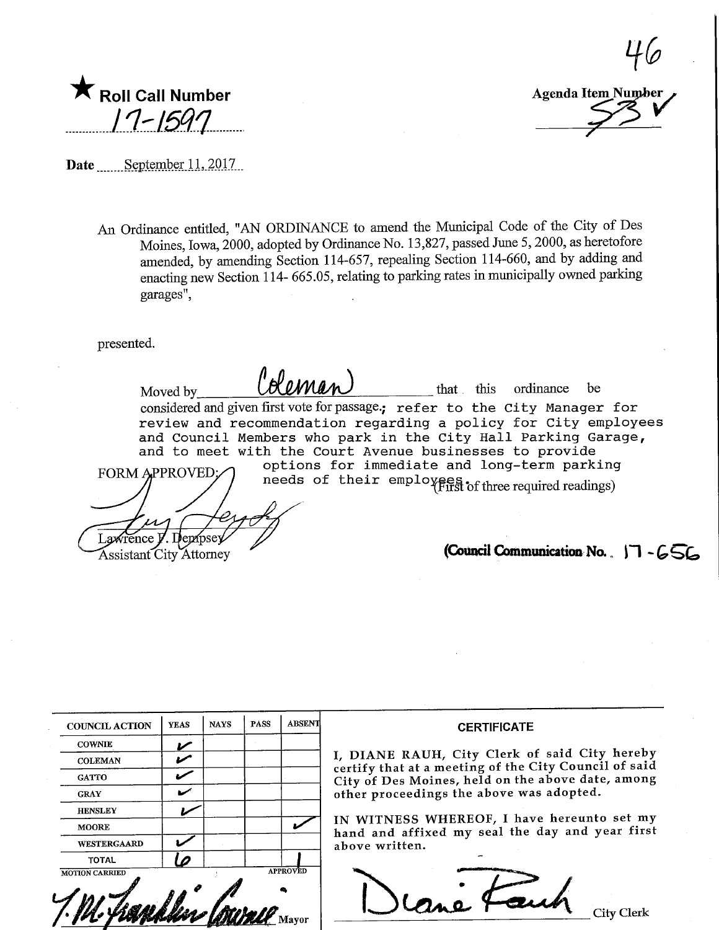| Roll Call Number |
|------------------|
| 17-1597          |
|                  |

 $\frac{1}{6}$ Roll Call Number  $\overline{17}$  laltem Number Agenda Item Number

Date September 11, 2017.

An Ordinance entitled, "AN ORDINANCE to amend the Municipal Code of the City of Des Moines, Iowa, 2000, adopted by Ordinance No. 13,827, passed June 5,2000, as heretofore amended, by amending Section 114-657, repealing Section 114-660, and by adding and enacting new Section 114- 665.05, relating to parking rates in municipally owned parking garages",

presented.

Moved by  $\bigcup_{n=1}^{\infty}$   $\bigcup_{n=1}^{\infty}$  that this ordinance be considered and given first vote for passage.; refer to the City Manager for review and recommendation regarding a policy for City employees and Council Members who park in the City Hall Parking Garage, and to meet with the Court Avenue businesses to provide FORM APPROVED:/\ options for immediate and long-term parking needs of their employees of three required readings) (Council Communication No.  $H - 656$ Lawrence V. Dembsey Assistant City Attorney

| <b>COUNCIL ACTION</b> | <b>YEAS</b> | <b>NAYS</b> | <b>PASS</b> | <b>ABSENT</b>   |
|-----------------------|-------------|-------------|-------------|-----------------|
| <b>COWNIE</b>         |             |             |             |                 |
| <b>COLEMAN</b>        |             |             |             |                 |
| <b>GATTO</b>          |             |             |             |                 |
| <b>GRAY</b>           |             |             |             |                 |
| <b>HENSLEY</b>        |             |             |             |                 |
| <b>MOORE</b>          |             |             |             |                 |
| <b>WESTERGAARD</b>    |             |             |             |                 |
| <b>TOTAL</b>          |             |             |             |                 |
| <b>MOTION CARRIED</b> |             |             |             | <b>APPROVED</b> |

#### **CERTIFICATE**

I, DIANE RAUH, City Clerk of said City hereby certify that at a meeting of the City Council of said City of Des Moines, held on the above date, among other proceedings the above was adopted.

IN WITNESS WHEREOF, I have hereunto set my hand and affixed my seal the day and year first above written.

Cane Fauch City Clerk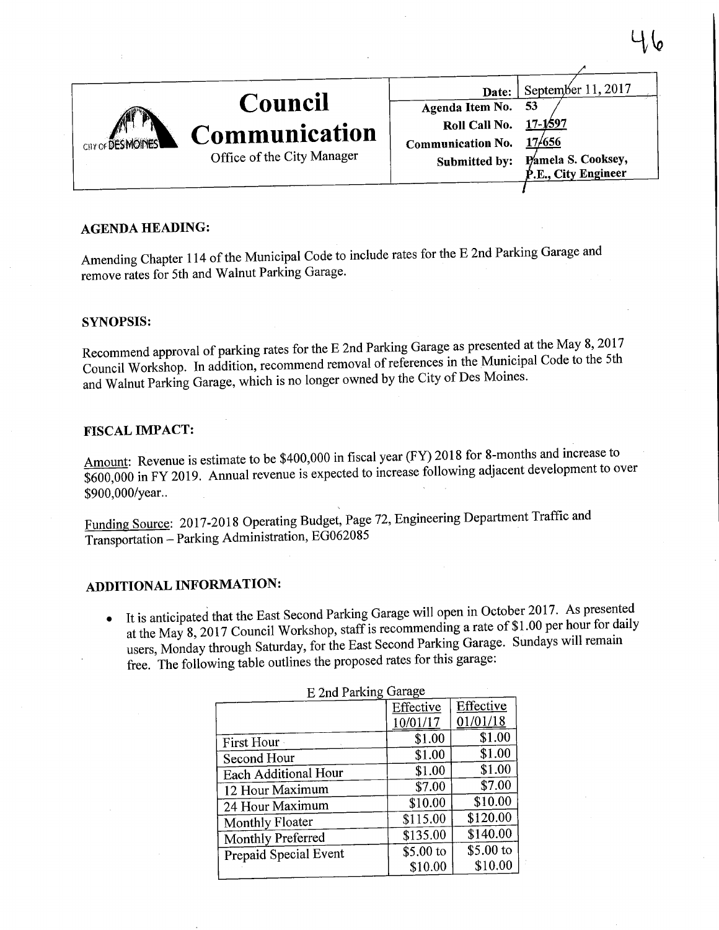|                   |                            | Date:                        | September 11, 2017              |
|-------------------|----------------------------|------------------------------|---------------------------------|
| CITY OF DESMOINES | Council                    | Agenda Item No. 53           |                                 |
|                   | Communication              | <b>Roll Call No.</b> 17-1597 |                                 |
|                   | Office of the City Manager | Communication No.            | 17/656                          |
|                   |                            | Submitted by:                | Pamela S. Cooksey,              |
|                   |                            |                              | <sup>6</sup> .E., City Engineer |
|                   |                            |                              |                                 |

### AGENDA HEADING:

Amending Chapter 114 of the Municipal Code to include rates for the E 2nd Parking Garage and remove rates for 5th and Walnut Parking Garage.

#### SYNOPSIS:

ecommend approval of parking rates for the  $E$  2nd Parking Garage as presented May 8,2017 at the 5th  $\alpha$  Council Workshop. In addition, recommend removal of references in the Multipal Code to the  $\alpha$ and Walnut Parking Garage, which is no longer owned by the City of Des Moines.

#### FISCAL IMPACT:

 $A$  mount: Revenue is estimate to be  $$400,000$  in fiscal year (FY)  $$200$  increase the settlement for  $\alpha$  $600,000$  in FY 2019. Annual revenue is expected to increase following adjacent and  $\frac{1}{4}$ \$900,000/year..

Funding Source: 2017-2018 Operating Budget, Page 72, Engineering Department Traffic and Transportation - Parking Administration, EG062085

# ADDITIONAL INFORMATION:

• It is anticipated that the East Second Parking Garage will open in October 2017. As presented at the May 8, 2017 Council Workshop, staff is recommending a rate of \$1.00 per hour for daily t the May  $8,2017$  Council Workshop, start is recommending  $\frac{1}{2}$  rate of  $\frac{1}{2}$ . The state of  $\frac{1}{2}$  rate of  $\frac{1}{2}$  rate of  $\frac{1}{2}$  rate  $\frac{1}{2}$  rate of  $\frac{1}{2}$  rate of  $\frac{1}{2}$  rate  $\frac{1}{2}$  rate  $\frac$  $\frac{1}{2}$ users, Monday through Saturday, for the East Second Parking Garage. free. The following table outlines the proposed rates for this garage:

| L ZIIU I AINIIIS OMWO |           |           |  |  |  |
|-----------------------|-----------|-----------|--|--|--|
|                       | Effective | Effective |  |  |  |
|                       | 10/01/17  | 01/01/18  |  |  |  |
| First Hour            | \$1.00    | \$1.00    |  |  |  |
| Second Hour           | \$1.00    | \$1.00    |  |  |  |
| Each Additional Hour  | \$1.00    | \$1.00    |  |  |  |
| 12 Hour Maximum       | \$7.00    | \$7.00    |  |  |  |
| 24 Hour Maximum       | \$10.00   | \$10.00   |  |  |  |
| Monthly Floater       | \$115.00  | \$120.00  |  |  |  |
| Monthly Preferred     | \$135.00  | \$140.00  |  |  |  |
| Prepaid Special Event | \$5.00 to | \$5.00 to |  |  |  |
|                       | \$10.00   | \$10.00   |  |  |  |
|                       |           |           |  |  |  |

#### $E$  2nd Parking Garage

 $\mathbf{\Psi}$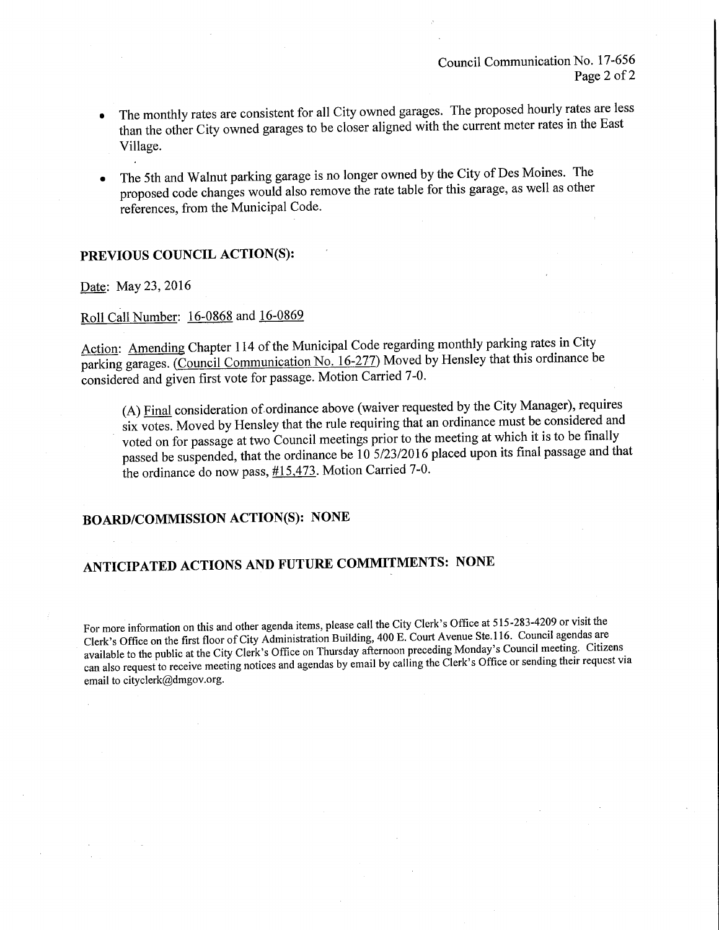- The monthly rates are consistent for all City owned garages. The proposed hourly rates are less than the other City owned garages to be closer aligned with the current meter rates in the East Village.
- The 5th and Walnut parking garage is no longer owned by the City of Des Montes. The proposed code changes would also remove the rate table for this garage, as well as other references, from the Municipal Code.

## PREVIOUS COUNCIL ACTION(S):

Date: May 23, 2016

## Roll Call Number: 16-0868 and 16-0869

 $\frac{1}{2}$  Chapter 114 of the Municipal Code regarding monthly parking rates in  $\frac{1}{2}$ arking garages. (Council Communication No.  $10-277$ ) Moved by Hensley that this ordinance be considered and given first vote for passage. Motion Carried 7-0.

 $(A)$  <u>Final</u> consideration of ordinance above (waiver requested by the City Manager), required and  $s$  votes. Moved by Hensley that the rule requiring that an ordinance must be considered and  $\frac{1}{2}$ voted on for passage at two Council meetings prior to the meeting at which it is to be finally passed be suspended, that the ordinance be 10 5/23/2016 placed upon its final passage and that the ordinance do now pass, #15,473. Motion Carried 7-0.

# BOARD/COMMISSION ACTION(S): NONE

# ANTICIPATED ACTIONS AND FUTURE COMMITMENTS: NONE

For more information on this and other agenda items, please call the City Clerk's Office at 515-283-4209 or visit the Clerk's Office on the first floor of City Administration Building, 400 E. Court Avenue Ste.116. Council available to the public at the City Clerk's Office on Thursday afternoon preceding Monday's Council meeting. Citizens  $\alpha$  ilable to the public at the City Clerk's Office on Thursday afternoon preceding  $\alpha$  council meeting. Citizens or conding their request  $v_i$ can also request to receive meeting notices and agendas by email by calling the Clerk's Office or sending their email to cityclerk@dmgov.org.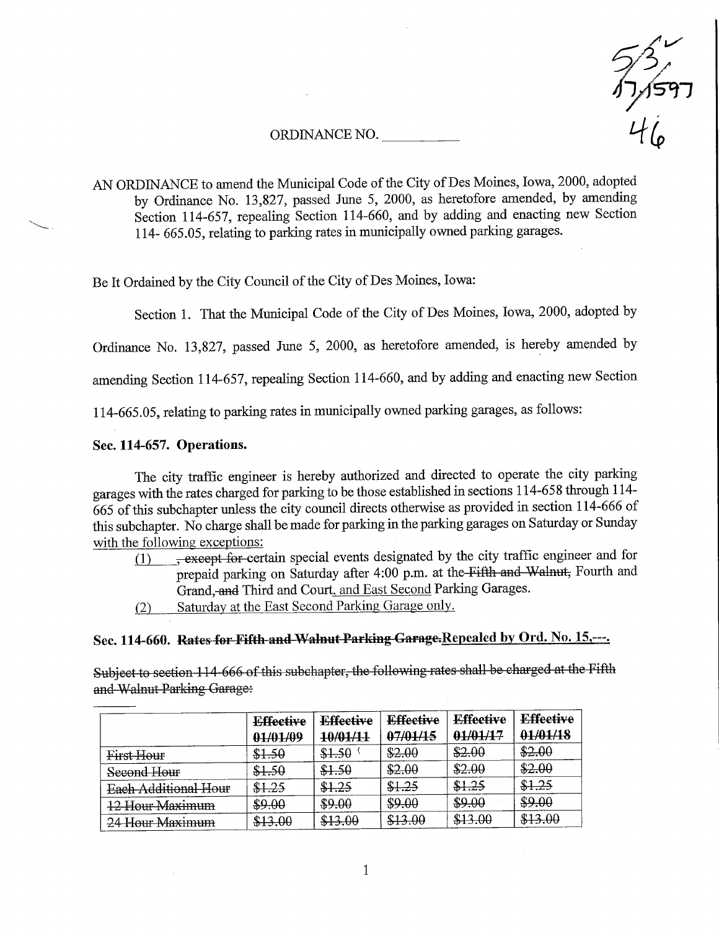#### ORDINANCE NO.



AN ORDINANCE to amend the Municipal Code of the City of Des Moines, Iowa, 2000, adopted by Ordinance No. 13,827, passed June 5, 2000, as heretofore amended, by amending Section 114-657, repealing Section 114-660, and by adding and enacting new Section 114- 665.05, relating to parking rates in municipally owned parking garages.

Be It Ordained by the City Council of the City of Des Moines, Iowa:

Section 1. That the Municipal Code of the City of Des Moines, Iowa, 2000, adopted by

Ordinance No. 13,827, passed June 5, 2000, as heretofore amended, is hereby amended by

amending Section 114-657, repealing Section 114-660, and by adding and enacting new Section

114-665.05, relating to parking rates in municipally owned parking garages, as follows:

#### Sec. 114-657. Operations.

The city traffic engineer is hereby authorized and directed to operate the city parking garages with the rates charged for parking to be those established in sections 114-658 through 114- 665 of this subchapter unless the city council directs otherwise as provided in section 114-666 of this subchapter. No charge shall be made for parking in the parking garages on Saturday or Sunday with the following exceptions:

- $\overline{P(1)}$  , except for certain special events designated by the city traffic engineer and for prepaid parking on Saturday after 4:00 p.m. at the Fifth and Walnut, Fourth and Grand, and Third and Court, and East Second Parking Garages.
	- C2) Saturday at the East Second Parking Garage only.

# Sec. 114-660. Rates for Fifth and Walnut Parking Garage.Repealed by Ord. No. 15,---.

Subject to section 114-666 of this subchapter, the following rates shall be charged at the Fifth and Walnut Parking Garage:

|                      | <b>Effective</b><br>01/01/09 | <b>Effective</b><br>10/01/11 | <b>Effective</b><br>07/01/15 | <b>Effective</b><br>01/01/17 | <b>Effective</b><br>01/01/18 |
|----------------------|------------------------------|------------------------------|------------------------------|------------------------------|------------------------------|
| First Hour           | \$1.50                       | \$1.50                       | \$2.00                       | \$2.00                       | \$2.00                       |
| Second Hour          | \$1.50                       | \$1.50                       | \$2.00                       | \$2.00                       | \$2.00                       |
| Each Additional Hour | \$1.25                       | \$1.25                       | \$1.25                       | \$1.25                       | \$1.25                       |
| 12 Hour Maximum      | \$9.00                       | \$9.00                       | \$9.00                       | \$9.00                       | \$9.00                       |
| 24 Hour Maximum      | \$13.00                      | \$13.00                      | \$13.00                      | \$13.00                      | \$13.00                      |